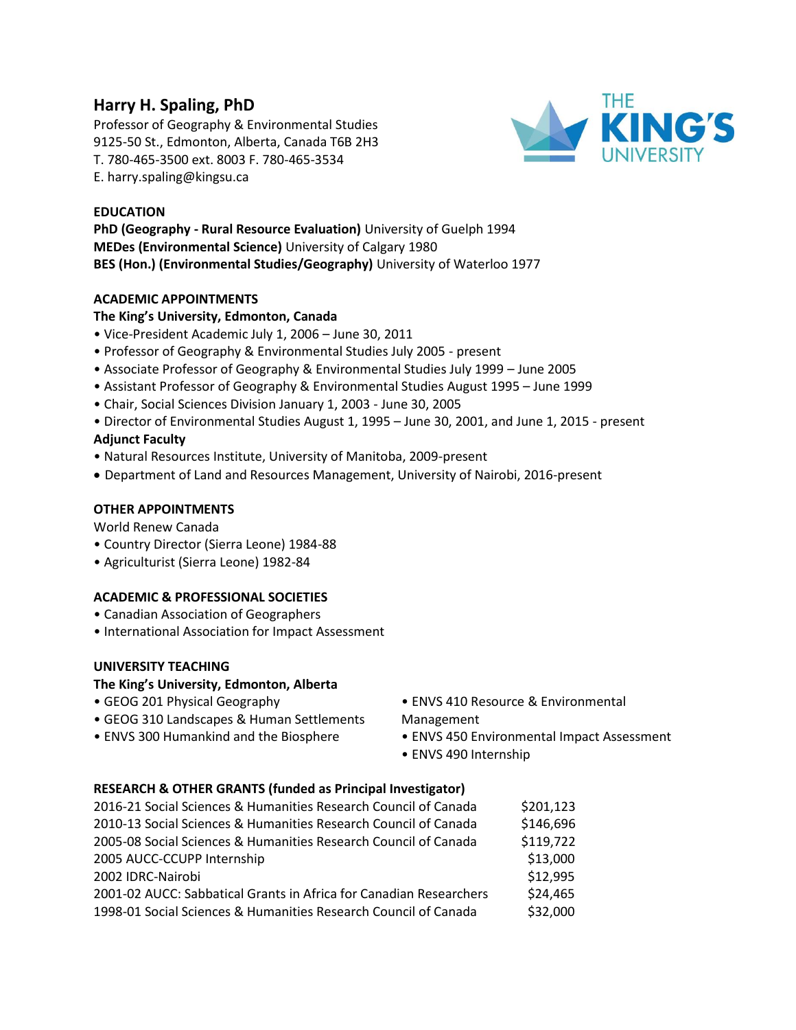# **Harry H. Spaling, PhD**

Professor of Geography & Environmental Studies 9125-50 St., Edmonton, Alberta, Canada T6B 2H3 T. 780-465-3500 ext. 8003 F. 780-465-3534 E. harry.spaling@kingsu.ca



## **EDUCATION**

**PhD (Geography - Rural Resource Evaluation)** University of Guelph 1994 **MEDes (Environmental Science)** University of Calgary 1980 **BES (Hon.) (Environmental Studies/Geography)** University of Waterloo 1977

## **ACADEMIC APPOINTMENTS**

## **The King's University, Edmonton, Canada**

- Vice-President Academic July 1, 2006 June 30, 2011
- Professor of Geography & Environmental Studies July 2005 present
- Associate Professor of Geography & Environmental Studies July 1999 June 2005
- Assistant Professor of Geography & Environmental Studies August 1995 June 1999
- Chair, Social Sciences Division January 1, 2003 June 30, 2005
- Director of Environmental Studies August 1, 1995 June 30, 2001, and June 1, 2015 present

# **Adjunct Faculty**

- Natural Resources Institute, University of Manitoba, 2009-present
- Department of Land and Resources Management, University of Nairobi, 2016-present

#### **OTHER APPOINTMENTS**

World Renew Canada

- Country Director (Sierra Leone) 1984-88
- Agriculturist (Sierra Leone) 1982-84

## **ACADEMIC & PROFESSIONAL SOCIETIES**

- Canadian Association of Geographers
- International Association for Impact Assessment

## **UNIVERSITY TEACHING**

## **The King's University, Edmonton, Alberta**

- GEOG 201 Physical Geography
- GEOG 310 Landscapes & Human Settlements
- ENVS 300 Humankind and the Biosphere
- ENVS 410 Resource & Environmental

Management

- ENVS 450 Environmental Impact Assessment
- ENVS 490 Internship

## **RESEARCH & OTHER GRANTS (funded as Principal Investigator)**

| 2016-21 Social Sciences & Humanities Research Council of Canada    | \$201,123 |
|--------------------------------------------------------------------|-----------|
| 2010-13 Social Sciences & Humanities Research Council of Canada    | \$146,696 |
| 2005-08 Social Sciences & Humanities Research Council of Canada    | \$119,722 |
| 2005 AUCC-CCUPP Internship                                         | \$13,000  |
| 2002 IDRC-Nairobi                                                  | \$12,995  |
| 2001-02 AUCC: Sabbatical Grants in Africa for Canadian Researchers | \$24,465  |
| 1998-01 Social Sciences & Humanities Research Council of Canada    | \$32,000  |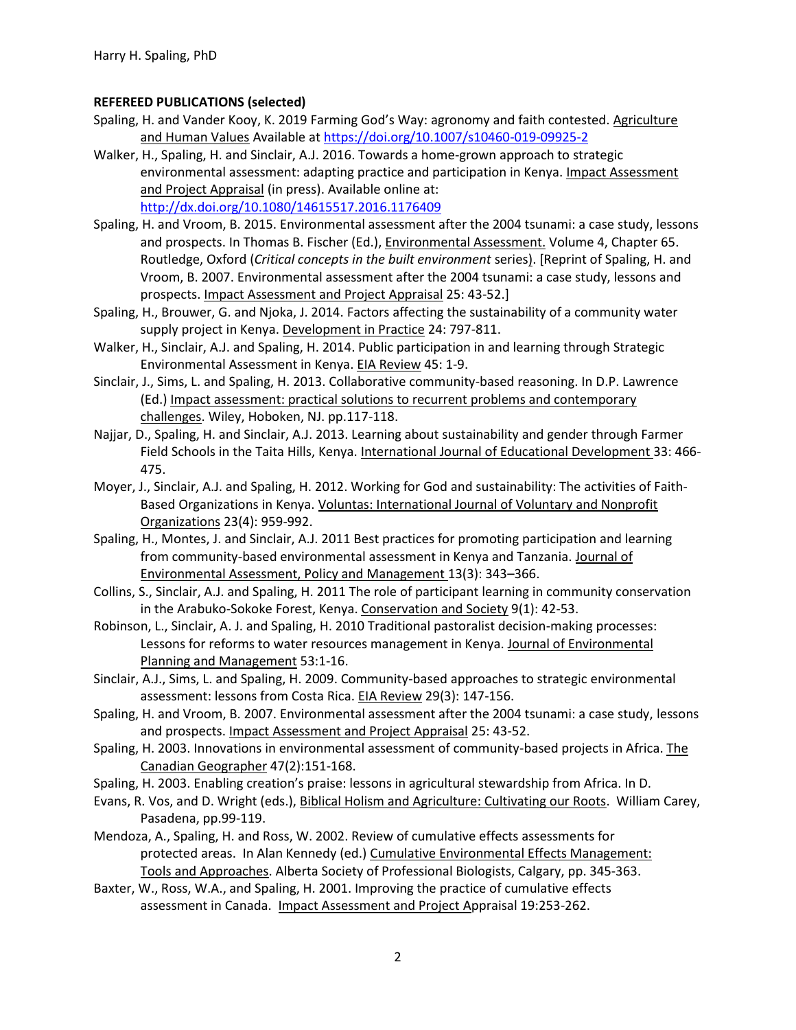## **REFEREED PUBLICATIONS (selected)**

- Spaling, H. and Vander Kooy, K. 2019 Farming God's Way: agronomy and faith contested. Agriculture and Human Values Available at<https://doi.org/10.1007/s10460-019-09925-2>
- Walker, H., Spaling, H. and Sinclair, A.J. 2016. Towards a home-grown approach to strategic environmental assessment: adapting practice and participation in Kenya. Impact Assessment and Project Appraisal (in press). Available online at: <http://dx.doi.org/10.1080/14615517.2016.1176409>
- Spaling, H. and Vroom, B. 2015. Environmental assessment after the 2004 tsunami: a case study, lessons and prospects. In Thomas B. Fischer (Ed.), **Environmental Assessment**. Volume 4, Chapter 65. Routledge, Oxford (*Critical concepts in the built environment* series). [Reprint of Spaling, H. and Vroom, B. 2007. Environmental assessment after the 2004 tsunami: a case study, lessons and prospects. Impact Assessment and Project Appraisal 25: 43-52.]
- Spaling, H., Brouwer, G. and Njoka, J. 2014. Factors affecting the sustainability of a community water supply project in Kenya. Development in Practice 24: 797-811.
- Walker, H., Sinclair, A.J. and Spaling, H. 2014. Public participation in and learning through Strategic Environmental Assessment in Kenya. EIA Review 45: 1-9.
- Sinclair, J., Sims, L. and Spaling, H. 2013. Collaborative community-based reasoning. In D.P. Lawrence (Ed.) Impact assessment: practical solutions to recurrent problems and contemporary challenges. Wiley, Hoboken, NJ. pp.117-118.
- Najjar, D., Spaling, H. and Sinclair, A.J. 2013. Learning about sustainability and gender through Farmer Field Schools in the Taita Hills, Kenya. International Journal of Educational Development 33: 466- 475.
- Moyer, J., Sinclair, A.J. and Spaling, H. 2012. Working for God and sustainability: The activities of Faith-Based Organizations in Kenya. Voluntas: International Journal of Voluntary and Nonprofit Organizations 23(4): 959-992.
- Spaling, H., Montes, J. and Sinclair, A.J. 2011 Best practices for promoting participation and learning from community-based environmental assessment in Kenya and Tanzania. Journal of Environmental Assessment, Policy and Management 13(3): 343–366.
- Collins, S., Sinclair, A.J. and Spaling, H. 2011 The role of participant learning in community conservation in the Arabuko-Sokoke Forest, Kenya. Conservation and Society 9(1): 42-53.
- Robinson, L., Sinclair, A. J. and Spaling, H. 2010 Traditional pastoralist decision-making processes: Lessons for reforms to water resources management in Kenya. Journal of Environmental Planning and Management 53:1-16.
- Sinclair, A.J., Sims, L. and Spaling, H. 2009. Community-based approaches to strategic environmental assessment: lessons from Costa Rica. EIA Review 29(3): 147-156.
- Spaling, H. and Vroom, B. 2007. Environmental assessment after the 2004 tsunami: a case study, lessons and prospects. Impact Assessment and Project Appraisal 25: 43-52.
- Spaling, H. 2003. Innovations in environmental assessment of community-based projects in Africa. The Canadian Geographer 47(2):151-168.
- Spaling, H. 2003. Enabling creation's praise: lessons in agricultural stewardship from Africa. In D.
- Evans, R. Vos, and D. Wright (eds.), Biblical Holism and Agriculture: Cultivating our Roots. William Carey, Pasadena, pp.99-119.
- Mendoza, A., Spaling, H. and Ross, W. 2002. Review of cumulative effects assessments for protected areas. In Alan Kennedy (ed.) Cumulative Environmental Effects Management: Tools and Approaches. Alberta Society of Professional Biologists, Calgary, pp. 345-363.
- Baxter, W., Ross, W.A., and Spaling, H. 2001. Improving the practice of cumulative effects assessment in Canada. Impact Assessment and Project Appraisal 19:253-262.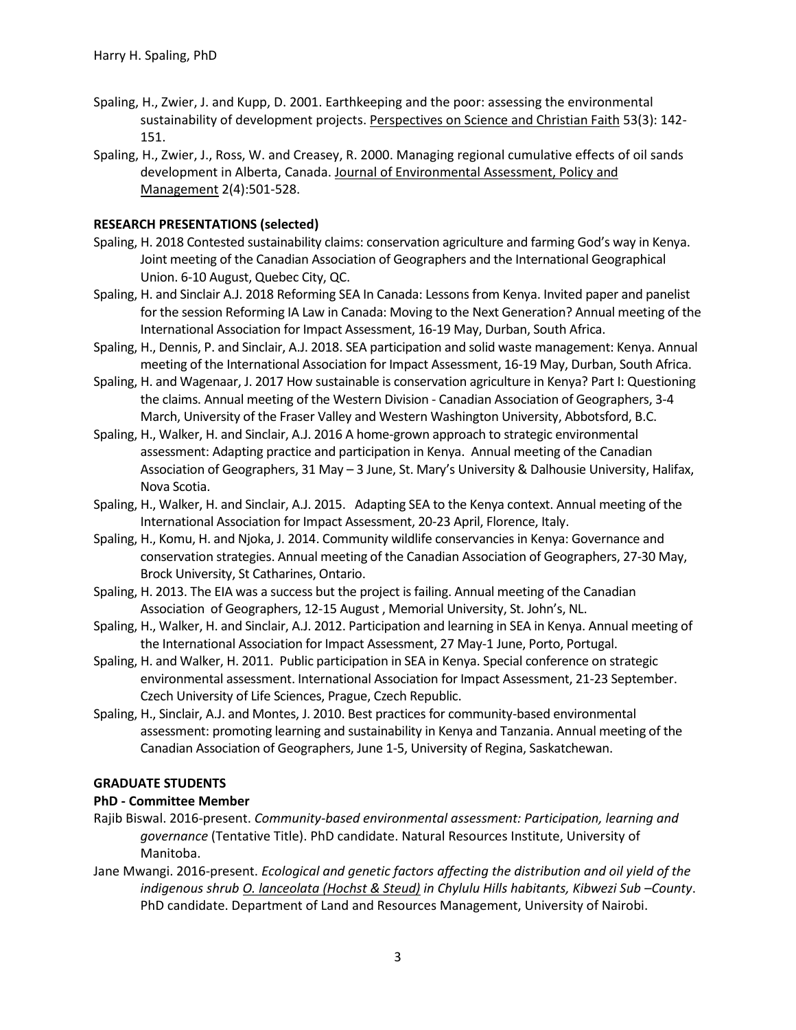- Spaling, H., Zwier, J. and Kupp, D. 2001. Earthkeeping and the poor: assessing the environmental sustainability of development projects. Perspectives on Science and Christian Faith 53(3): 142-151.
- Spaling, H., Zwier, J., Ross, W. and Creasey, R. 2000. Managing regional cumulative effects of oil sands development in Alberta, Canada. Journal of Environmental Assessment, Policy and Management 2(4):501-528.

# **RESEARCH PRESENTATIONS (selected)**

- Spaling, H. 2018 Contested sustainability claims: conservation agriculture and farming God's way in Kenya. Joint meeting of the Canadian Association of Geographers and the International Geographical Union. 6-10 August, Quebec City, QC.
- Spaling, H. and Sinclair A.J. 2018 Reforming SEA In Canada: Lessons from Kenya. Invited paper and panelist for the session Reforming IA Law in Canada: Moving to the Next Generation? Annual meeting of the International Association for Impact Assessment, 16-19 May, Durban, South Africa.
- Spaling, H., Dennis, P. and Sinclair, A.J. 2018. SEA participation and solid waste management: Kenya. Annual meeting of the International Association for Impact Assessment, 16-19 May, Durban, South Africa.
- Spaling, H. and Wagenaar, J. 2017 How sustainable is conservation agriculture in Kenya? Part I: Questioning the claims. Annual meeting of the Western Division - Canadian Association of Geographers, 3-4 March, University of the Fraser Valley and Western Washington University, Abbotsford, B.C.
- Spaling, H., Walker, H. and Sinclair, A.J. 2016 A home-grown approach to strategic environmental assessment: Adapting practice and participation in Kenya. Annual meeting of the Canadian Association of Geographers, 31 May – 3 June, St. Mary's University & Dalhousie University, Halifax, Nova Scotia.
- Spaling, H., Walker, H. and Sinclair, A.J. 2015. Adapting SEA to the Kenya context. Annual meeting of the International Association for Impact Assessment, 20-23 April, Florence, Italy.
- Spaling, H., Komu, H. and Njoka, J. 2014. Community wildlife conservancies in Kenya: Governance and conservation strategies. Annual meeting of the Canadian Association of Geographers, 27-30 May, Brock University, St Catharines, Ontario.
- Spaling, H. 2013. The EIA was a success but the project is failing. Annual meeting of the Canadian Association of Geographers, 12-15 August , Memorial University, St. John's, NL.
- Spaling, H., Walker, H. and Sinclair, A.J. 2012. Participation and learning in SEA in Kenya. Annual meeting of the International Association for Impact Assessment, 27 May-1 June, Porto, Portugal.
- Spaling, H. and Walker, H. 2011. Public participation in SEA in Kenya. Special conference on strategic environmental assessment. International Association for Impact Assessment, 21-23 September. Czech University of Life Sciences, Prague, Czech Republic.
- Spaling, H., Sinclair, A.J. and Montes, J. 2010. Best practices for community-based environmental assessment: promoting learning and sustainability in Kenya and Tanzania. Annual meeting of the Canadian Association of Geographers, June 1-5, University of Regina, Saskatchewan.

## **GRADUATE STUDENTS**

## **PhD - Committee Member**

- Rajib Biswal. 2016-present. *Community-based environmental assessment: Participation, learning and governance* (Tentative Title). PhD candidate. Natural Resources Institute, University of Manitoba.
- Jane Mwangi. 2016-present. *Ecological and genetic factors affecting the distribution and oil yield of the indigenous shrub O. lanceolata (Hochst & Steud) in Chylulu Hills habitants, Kibwezi Sub –County*. PhD candidate. Department of Land and Resources Management, University of Nairobi.